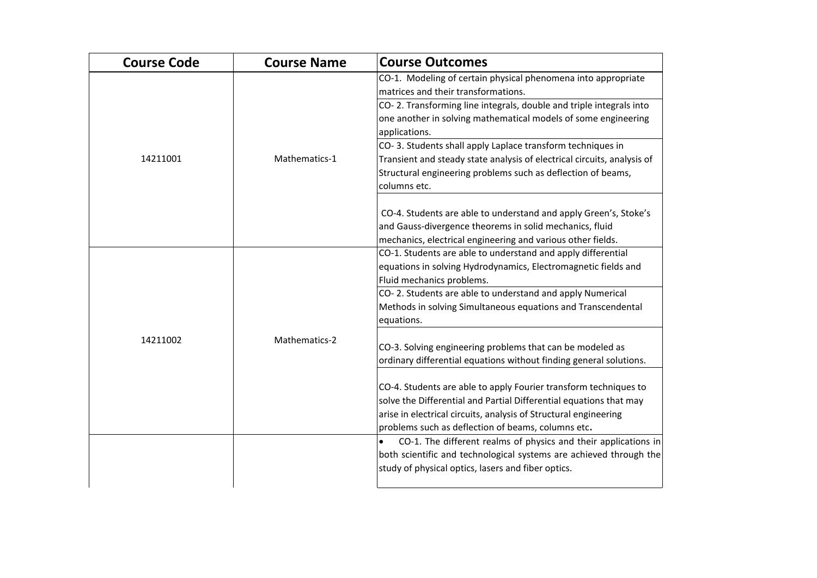| <b>Course Code</b> | <b>Course Name</b> | <b>Course Outcomes</b>                                                       |
|--------------------|--------------------|------------------------------------------------------------------------------|
|                    |                    | CO-1. Modeling of certain physical phenomena into appropriate                |
|                    |                    | matrices and their transformations.                                          |
|                    |                    | CO-2. Transforming line integrals, double and triple integrals into          |
|                    |                    | one another in solving mathematical models of some engineering               |
|                    |                    | applications.                                                                |
|                    |                    | CO-3. Students shall apply Laplace transform techniques in                   |
| 14211001           | Mathematics-1      | Transient and steady state analysis of electrical circuits, analysis of      |
|                    |                    | Structural engineering problems such as deflection of beams,                 |
|                    |                    | columns etc.                                                                 |
|                    |                    | CO-4. Students are able to understand and apply Green's, Stoke's             |
|                    |                    | and Gauss-divergence theorems in solid mechanics, fluid                      |
|                    |                    | mechanics, electrical engineering and various other fields.                  |
|                    |                    | CO-1. Students are able to understand and apply differential                 |
|                    |                    | equations in solving Hydrodynamics, Electromagnetic fields and               |
|                    |                    | Fluid mechanics problems.                                                    |
|                    |                    | CO-2. Students are able to understand and apply Numerical                    |
|                    |                    | Methods in solving Simultaneous equations and Transcendental                 |
|                    |                    | equations.                                                                   |
| 14211002           | Mathematics-2      |                                                                              |
|                    |                    | CO-3. Solving engineering problems that can be modeled as                    |
|                    |                    | ordinary differential equations without finding general solutions.           |
|                    |                    | CO-4. Students are able to apply Fourier transform techniques to             |
|                    |                    | solve the Differential and Partial Differential equations that may           |
|                    |                    | arise in electrical circuits, analysis of Structural engineering             |
|                    |                    | problems such as deflection of beams, columns etc.                           |
|                    |                    | CO-1. The different realms of physics and their applications in<br>$\bullet$ |
|                    |                    | both scientific and technological systems are achieved through the           |
|                    |                    | study of physical optics, lasers and fiber optics.                           |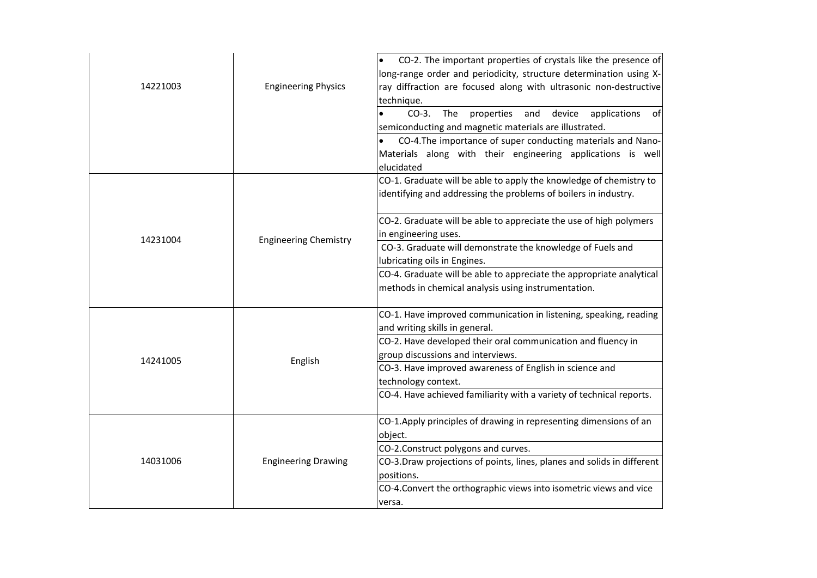| 14221003 | <b>Engineering Physics</b>   | CO-2. The important properties of crystals like the presence of<br>long-range order and periodicity, structure determination using X-<br>ray diffraction are focused along with ultrasonic non-destructive<br>technique.<br>$CO-3.$<br>The<br>properties<br>and<br>device<br>applications<br>of<br>semiconducting and magnetic materials are illustrated.<br>CO-4. The importance of super conducting materials and Nano-<br>$\bullet$<br>Materials along with their engineering applications is well<br>elucidated |
|----------|------------------------------|---------------------------------------------------------------------------------------------------------------------------------------------------------------------------------------------------------------------------------------------------------------------------------------------------------------------------------------------------------------------------------------------------------------------------------------------------------------------------------------------------------------------|
| 14231004 | <b>Engineering Chemistry</b> | CO-1. Graduate will be able to apply the knowledge of chemistry to<br>identifying and addressing the problems of boilers in industry.<br>CO-2. Graduate will be able to appreciate the use of high polymers<br>in engineering uses.<br>CO-3. Graduate will demonstrate the knowledge of Fuels and<br>lubricating oils in Engines.<br>CO-4. Graduate will be able to appreciate the appropriate analytical<br>methods in chemical analysis using instrumentation.                                                    |
| 14241005 | English                      | CO-1. Have improved communication in listening, speaking, reading<br>and writing skills in general.<br>CO-2. Have developed their oral communication and fluency in<br>group discussions and interviews.<br>CO-3. Have improved awareness of English in science and<br>technology context.<br>CO-4. Have achieved familiarity with a variety of technical reports.                                                                                                                                                  |
| 14031006 | <b>Engineering Drawing</b>   | CO-1.Apply principles of drawing in representing dimensions of an<br>object.<br>CO-2.Construct polygons and curves.<br>CO-3.Draw projections of points, lines, planes and solids in different<br>positions.<br>CO-4.Convert the orthographic views into isometric views and vice<br>versa.                                                                                                                                                                                                                          |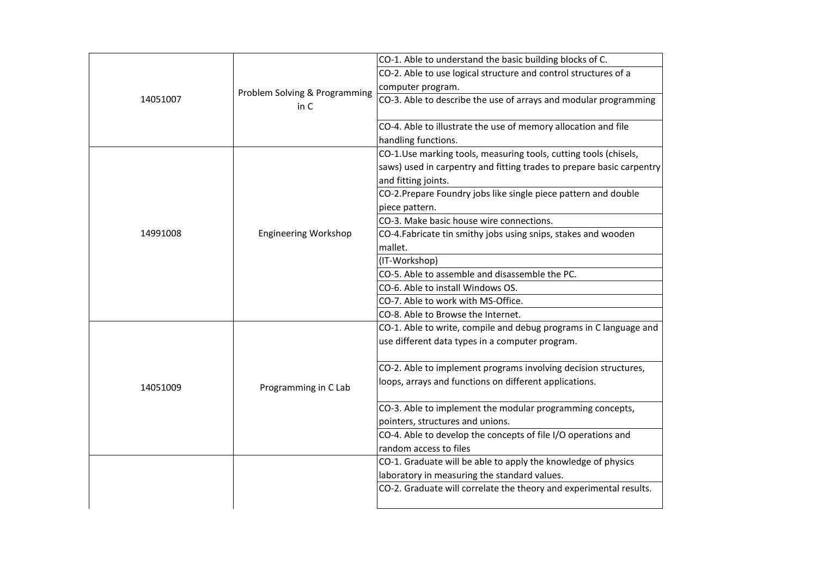|          |                               | CO-1. Able to understand the basic building blocks of C.              |
|----------|-------------------------------|-----------------------------------------------------------------------|
|          |                               | CO-2. Able to use logical structure and control structures of a       |
|          | Problem Solving & Programming | computer program.                                                     |
| 14051007 | in C                          | CO-3. Able to describe the use of arrays and modular programming      |
|          |                               | CO-4. Able to illustrate the use of memory allocation and file        |
|          |                               | handling functions.                                                   |
|          |                               | CO-1.Use marking tools, measuring tools, cutting tools (chisels,      |
|          |                               | saws) used in carpentry and fitting trades to prepare basic carpentry |
|          |                               | and fitting joints.                                                   |
|          |                               | CO-2. Prepare Foundry jobs like single piece pattern and double       |
|          |                               | piece pattern.                                                        |
|          |                               | CO-3. Make basic house wire connections.                              |
| 14991008 | <b>Engineering Workshop</b>   | CO-4. Fabricate tin smithy jobs using snips, stakes and wooden        |
|          |                               | mallet.                                                               |
|          |                               | (IT-Workshop)                                                         |
|          |                               | CO-5. Able to assemble and disassemble the PC.                        |
|          |                               | CO-6. Able to install Windows OS.                                     |
|          |                               | CO-7. Able to work with MS-Office.                                    |
|          |                               | CO-8. Able to Browse the Internet.                                    |
|          | Programming in C Lab          | CO-1. Able to write, compile and debug programs in C language and     |
|          |                               | use different data types in a computer program.                       |
|          |                               | CO-2. Able to implement programs involving decision structures,       |
| 14051009 |                               | loops, arrays and functions on different applications.                |
|          |                               | CO-3. Able to implement the modular programming concepts,             |
|          |                               | pointers, structures and unions.                                      |
|          |                               | CO-4. Able to develop the concepts of file I/O operations and         |
|          |                               | random access to files                                                |
|          |                               | CO-1. Graduate will be able to apply the knowledge of physics         |
|          |                               | laboratory in measuring the standard values.                          |
|          |                               | CO-2. Graduate will correlate the theory and experimental results.    |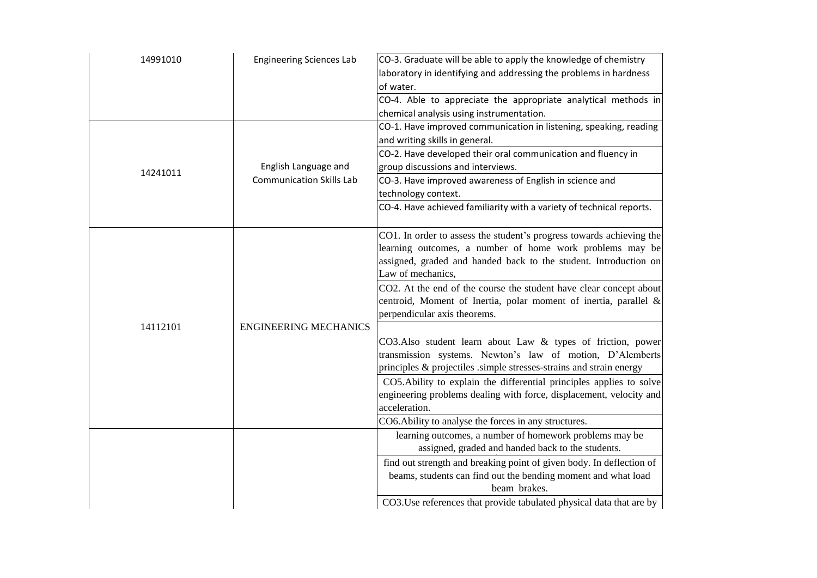| 14991010 | <b>Engineering Sciences Lab</b> | CO-3. Graduate will be able to apply the knowledge of chemistry<br>laboratory in identifying and addressing the problems in hardness<br>of water.                                                                         |
|----------|---------------------------------|---------------------------------------------------------------------------------------------------------------------------------------------------------------------------------------------------------------------------|
|          |                                 | CO-4. Able to appreciate the appropriate analytical methods in<br>chemical analysis using instrumentation.                                                                                                                |
|          |                                 | CO-1. Have improved communication in listening, speaking, reading<br>and writing skills in general.                                                                                                                       |
|          | English Language and            | CO-2. Have developed their oral communication and fluency in<br>group discussions and interviews.                                                                                                                         |
| 14241011 | <b>Communication Skills Lab</b> | CO-3. Have improved awareness of English in science and<br>technology context.                                                                                                                                            |
|          |                                 | CO-4. Have achieved familiarity with a variety of technical reports.                                                                                                                                                      |
|          |                                 | CO1. In order to assess the student's progress towards achieving the<br>learning outcomes, a number of home work problems may be<br>assigned, graded and handed back to the student. Introduction on<br>Law of mechanics, |
| 14112101 | <b>ENGINEERING MECHANICS</b>    | CO2. At the end of the course the student have clear concept about<br>centroid, Moment of Inertia, polar moment of inertia, parallel &<br>perpendicular axis theorems.                                                    |
|          |                                 | CO3.Also student learn about Law & types of friction, power<br>transmission systems. Newton's law of motion, D'Alemberts<br>principles & projectiles .simple stresses-strains and strain energy                           |
|          |                                 | CO5. Ability to explain the differential principles applies to solve<br>engineering problems dealing with force, displacement, velocity and<br>acceleration.                                                              |
|          |                                 | CO6. Ability to analyse the forces in any structures.                                                                                                                                                                     |
|          |                                 | learning outcomes, a number of homework problems may be<br>assigned, graded and handed back to the students.                                                                                                              |
|          |                                 | find out strength and breaking point of given body. In deflection of<br>beams, students can find out the bending moment and what load<br>beam brakes.                                                                     |
|          |                                 | CO3. Use references that provide tabulated physical data that are by                                                                                                                                                      |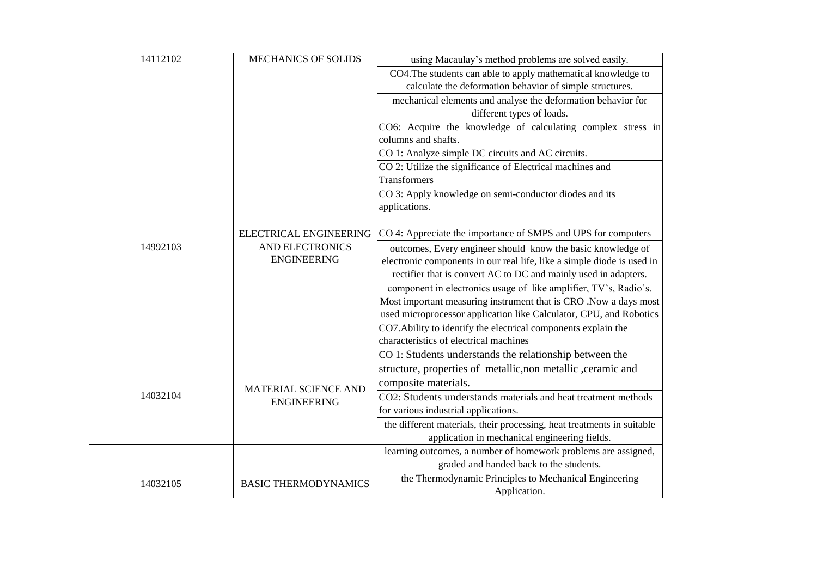| 14112102 | <b>MECHANICS OF SOLIDS</b>  | using Macaulay's method problems are solved easily.                                |
|----------|-----------------------------|------------------------------------------------------------------------------------|
|          |                             | CO4. The students can able to apply mathematical knowledge to                      |
|          |                             | calculate the deformation behavior of simple structures.                           |
|          |                             | mechanical elements and analyse the deformation behavior for                       |
|          |                             | different types of loads.                                                          |
|          |                             | CO6: Acquire the knowledge of calculating complex stress in<br>columns and shafts. |
|          |                             | CO 1: Analyze simple DC circuits and AC circuits.                                  |
|          |                             | CO 2: Utilize the significance of Electrical machines and                          |
|          |                             | <b>Transformers</b>                                                                |
|          |                             | CO 3: Apply knowledge on semi-conductor diodes and its<br>applications.            |
|          | ELECTRICAL ENGINEERING      | CO 4: Appreciate the importance of SMPS and UPS for computers                      |
| 14992103 | AND ELECTRONICS             | outcomes, Every engineer should know the basic knowledge of                        |
|          | <b>ENGINEERING</b>          | electronic components in our real life, like a simple diode is used in             |
|          |                             | rectifier that is convert AC to DC and mainly used in adapters.                    |
|          |                             | component in electronics usage of like amplifier, TV's, Radio's.                   |
|          |                             | Most important measuring instrument that is CRO .Now a days most                   |
|          |                             | used microprocessor application like Calculator, CPU, and Robotics                 |
|          |                             | CO7. Ability to identify the electrical components explain the                     |
|          |                             | characteristics of electrical machines                                             |
|          |                             | CO 1: Students understands the relationship between the                            |
|          | MATERIAL SCIENCE AND        | structure, properties of metallic, non metallic, ceramic and                       |
|          |                             | composite materials.                                                               |
| 14032104 | <b>ENGINEERING</b>          | CO2: Students understands materials and heat treatment methods                     |
|          |                             | for various industrial applications.                                               |
|          |                             | the different materials, their processing, heat treatments in suitable             |
|          |                             | application in mechanical engineering fields.                                      |
|          |                             | learning outcomes, a number of homework problems are assigned,                     |
|          |                             | graded and handed back to the students.                                            |
| 14032105 | <b>BASIC THERMODYNAMICS</b> | the Thermodynamic Principles to Mechanical Engineering                             |
|          |                             | Application.                                                                       |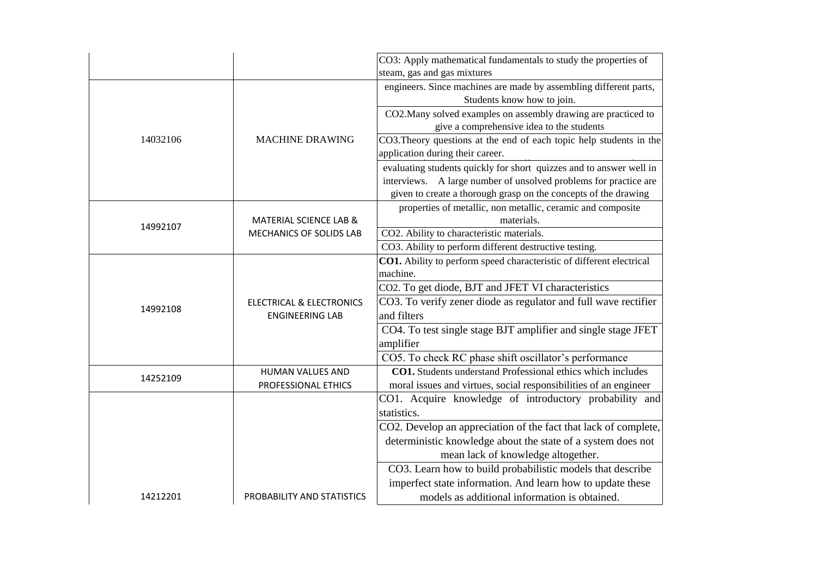|          |                                                               | CO3: Apply mathematical fundamentals to study the properties of      |
|----------|---------------------------------------------------------------|----------------------------------------------------------------------|
|          |                                                               | steam, gas and gas mixtures                                          |
|          |                                                               | engineers. Since machines are made by assembling different parts,    |
|          |                                                               | Students know how to join.                                           |
|          |                                                               | CO2. Many solved examples on assembly drawing are practiced to       |
|          |                                                               | give a comprehensive idea to the students                            |
| 14032106 | <b>MACHINE DRAWING</b>                                        | CO3. Theory questions at the end of each topic help students in the  |
|          |                                                               | application during their career.                                     |
|          |                                                               | evaluating students quickly for short quizzes and to answer well in  |
|          |                                                               | interviews. A large number of unsolved problems for practice are     |
|          |                                                               | given to create a thorough grasp on the concepts of the drawing      |
|          |                                                               | properties of metallic, non metallic, ceramic and composite          |
|          | MATERIAL SCIENCE LAB &                                        | materials.                                                           |
| 14992107 | MECHANICS OF SOLIDS LAB                                       | CO2. Ability to characteristic materials.                            |
|          |                                                               | CO3. Ability to perform different destructive testing.               |
|          |                                                               | CO1. Ability to perform speed characteristic of different electrical |
|          | <b>ELECTRICAL &amp; ELECTRONICS</b><br><b>ENGINEERING LAB</b> | machine.                                                             |
|          |                                                               | CO2. To get diode, BJT and JFET VI characteristics                   |
|          |                                                               | CO3. To verify zener diode as regulator and full wave rectifier      |
| 14992108 |                                                               | and filters                                                          |
|          |                                                               | CO4. To test single stage BJT amplifier and single stage JFET        |
|          |                                                               | amplifier                                                            |
|          |                                                               | CO5. To check RC phase shift oscillator's performance                |
| 14252109 | <b>HUMAN VALUES AND</b>                                       | <b>CO1.</b> Students understand Professional ethics which includes   |
|          | PROFESSIONAL ETHICS                                           | moral issues and virtues, social responsibilities of an engineer     |
|          |                                                               | CO1. Acquire knowledge of introductory probability and               |
|          |                                                               | statistics.                                                          |
|          |                                                               | CO2. Develop an appreciation of the fact that lack of complete,      |
|          |                                                               | deterministic knowledge about the state of a system does not         |
|          |                                                               | mean lack of knowledge altogether.                                   |
|          |                                                               | CO3. Learn how to build probabilistic models that describe           |
|          |                                                               | imperfect state information. And learn how to update these           |
| 14212201 | PROBABILITY AND STATISTICS                                    | models as additional information is obtained.                        |
|          |                                                               |                                                                      |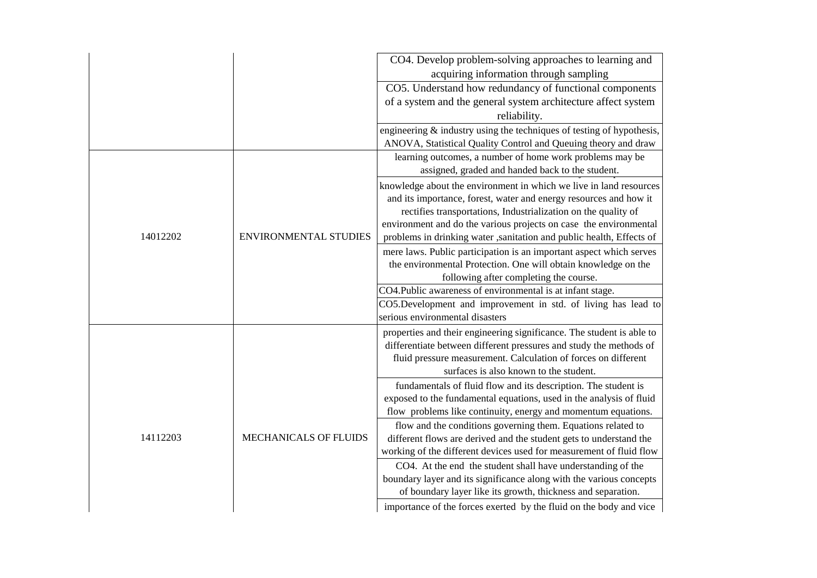|          |                              | CO4. Develop problem-solving approaches to learning and                                                                                                                                                                                                                                                                                                |
|----------|------------------------------|--------------------------------------------------------------------------------------------------------------------------------------------------------------------------------------------------------------------------------------------------------------------------------------------------------------------------------------------------------|
|          |                              | acquiring information through sampling                                                                                                                                                                                                                                                                                                                 |
|          |                              | CO5. Understand how redundancy of functional components                                                                                                                                                                                                                                                                                                |
|          |                              | of a system and the general system architecture affect system                                                                                                                                                                                                                                                                                          |
|          |                              | reliability.                                                                                                                                                                                                                                                                                                                                           |
|          |                              | engineering $\&$ industry using the techniques of testing of hypothesis,<br>ANOVA, Statistical Quality Control and Queuing theory and draw                                                                                                                                                                                                             |
|          |                              | learning outcomes, a number of home work problems may be<br>assigned, graded and handed back to the student.                                                                                                                                                                                                                                           |
| 14012202 | <b>ENVIRONMENTAL STUDIES</b> | knowledge about the environment in which we live in land resources<br>and its importance, forest, water and energy resources and how it<br>rectifies transportations, Industrialization on the quality of<br>environment and do the various projects on case the environmental<br>problems in drinking water ,sanitation and public health, Effects of |
|          |                              | mere laws. Public participation is an important aspect which serves<br>the environmental Protection. One will obtain knowledge on the<br>following after completing the course.                                                                                                                                                                        |
|          |                              | CO4. Public awareness of environmental is at infant stage.                                                                                                                                                                                                                                                                                             |
|          |                              | CO5.Development and improvement in std. of living has lead to<br>serious environmental disasters                                                                                                                                                                                                                                                       |
|          |                              | properties and their engineering significance. The student is able to<br>differentiate between different pressures and study the methods of<br>fluid pressure measurement. Calculation of forces on different<br>surfaces is also known to the student.                                                                                                |
|          |                              | fundamentals of fluid flow and its description. The student is<br>exposed to the fundamental equations, used in the analysis of fluid<br>flow problems like continuity, energy and momentum equations.                                                                                                                                                 |
| 14112203 | MECHANICALS OF FLUIDS        | flow and the conditions governing them. Equations related to<br>different flows are derived and the student gets to understand the<br>working of the different devices used for measurement of fluid flow                                                                                                                                              |
|          |                              | CO4. At the end the student shall have understanding of the<br>boundary layer and its significance along with the various concepts<br>of boundary layer like its growth, thickness and separation.                                                                                                                                                     |
|          |                              | importance of the forces exerted by the fluid on the body and vice                                                                                                                                                                                                                                                                                     |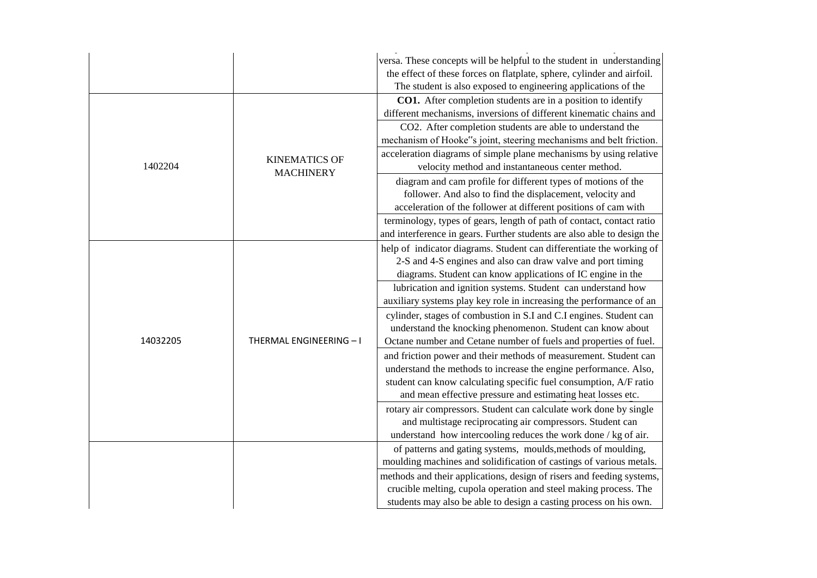|          |                         | versa. These concepts will be helpful to the student in understanding   |
|----------|-------------------------|-------------------------------------------------------------------------|
|          |                         | the effect of these forces on flatplate, sphere, cylinder and airfoil.  |
|          |                         | The student is also exposed to engineering applications of the          |
|          |                         | CO1. After completion students are in a position to identify            |
|          |                         | different mechanisms, inversions of different kinematic chains and      |
|          |                         | CO2. After completion students are able to understand the               |
|          |                         | mechanism of Hooke"s joint, steering mechanisms and belt friction.      |
|          | <b>KINEMATICS OF</b>    | acceleration diagrams of simple plane mechanisms by using relative      |
| 1402204  | <b>MACHINERY</b>        | velocity method and instantaneous center method.                        |
|          |                         | diagram and cam profile for different types of motions of the           |
|          |                         | follower. And also to find the displacement, velocity and               |
|          |                         | acceleration of the follower at different positions of cam with         |
|          |                         | terminology, types of gears, length of path of contact, contact ratio   |
|          |                         | and interference in gears. Further students are also able to design the |
|          |                         | help of indicator diagrams. Student can differentiate the working of    |
|          |                         | 2-S and 4-S engines and also can draw valve and port timing             |
|          |                         | diagrams. Student can know applications of IC engine in the             |
|          |                         | lubrication and ignition systems. Student can understand how            |
|          |                         | auxiliary systems play key role in increasing the performance of an     |
|          |                         | cylinder, stages of combustion in S.I and C.I engines. Student can      |
|          |                         | understand the knocking phenomenon. Student can know about              |
| 14032205 | THERMAL ENGINEERING - I | Octane number and Cetane number of fuels and properties of fuel.        |
|          |                         | and friction power and their methods of measurement. Student can        |
|          |                         | understand the methods to increase the engine performance. Also,        |
|          |                         | student can know calculating specific fuel consumption, A/F ratio       |
|          |                         | and mean effective pressure and estimating heat losses etc.             |
|          |                         | rotary air compressors. Student can calculate work done by single       |
|          |                         | and multistage reciprocating air compressors. Student can               |
|          |                         | understand how intercooling reduces the work done / kg of air.          |
|          |                         | of patterns and gating systems, moulds, methods of moulding,            |
|          |                         | moulding machines and solidification of castings of various metals.     |
|          |                         | methods and their applications, design of risers and feeding systems,   |
|          |                         | crucible melting, cupola operation and steel making process. The        |
|          |                         | students may also be able to design a casting process on his own.       |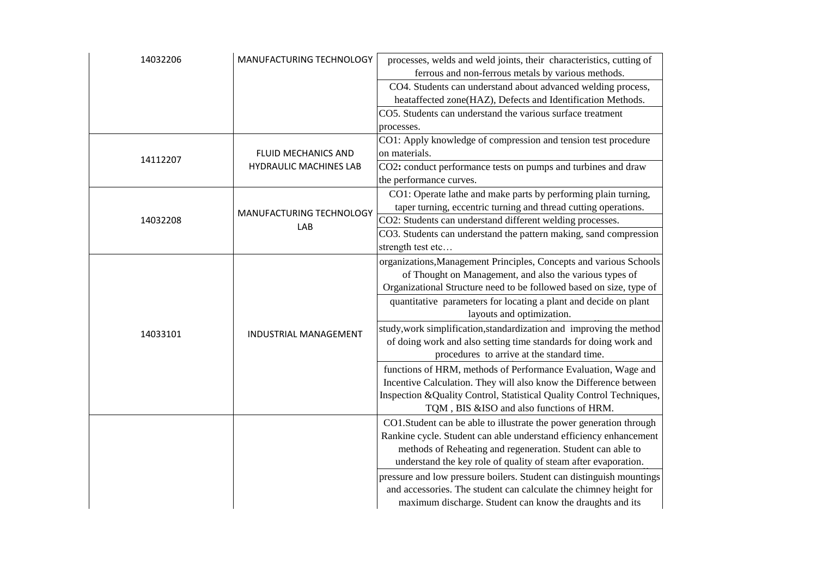| 14032206 | MANUFACTURING TECHNOLOGY        | processes, welds and weld joints, their characteristics, cutting of   |
|----------|---------------------------------|-----------------------------------------------------------------------|
|          |                                 | ferrous and non-ferrous metals by various methods.                    |
|          |                                 | CO4. Students can understand about advanced welding process,          |
|          |                                 | heataffected zone(HAZ), Defects and Identification Methods.           |
|          |                                 | CO5. Students can understand the various surface treatment            |
|          |                                 | processes.                                                            |
|          |                                 | CO1: Apply knowledge of compression and tension test procedure        |
| 14112207 | FLUID MECHANICS AND             | on materials.                                                         |
|          | <b>HYDRAULIC MACHINES LAB</b>   | CO2: conduct performance tests on pumps and turbines and draw         |
|          |                                 | the performance curves.                                               |
|          |                                 | CO1: Operate lathe and make parts by performing plain turning,        |
|          |                                 | taper turning, eccentric turning and thread cutting operations.       |
| 14032208 | MANUFACTURING TECHNOLOGY<br>LAB | CO2: Students can understand different welding processes.             |
|          |                                 | CO3. Students can understand the pattern making, sand compression     |
|          |                                 | strength test etc                                                     |
|          |                                 | organizations, Management Principles, Concepts and various Schools    |
|          |                                 | of Thought on Management, and also the various types of               |
|          |                                 | Organizational Structure need to be followed based on size, type of   |
|          |                                 | quantitative parameters for locating a plant and decide on plant      |
|          |                                 | layouts and optimization.                                             |
|          |                                 | study, work simplification, standardization and improving the method  |
| 14033101 | <b>INDUSTRIAL MANAGEMENT</b>    | of doing work and also setting time standards for doing work and      |
|          |                                 | procedures to arrive at the standard time.                            |
|          |                                 | functions of HRM, methods of Performance Evaluation, Wage and         |
|          |                                 | Incentive Calculation. They will also know the Difference between     |
|          |                                 |                                                                       |
|          |                                 | Inspection & Quality Control, Statistical Quality Control Techniques, |
|          |                                 | TQM, BIS &ISO and also functions of HRM.                              |
|          |                                 | CO1.Student can be able to illustrate the power generation through    |
|          |                                 | Rankine cycle. Student can able understand efficiency enhancement     |
|          |                                 | methods of Reheating and regeneration. Student can able to            |
|          |                                 | understand the key role of quality of steam after evaporation.        |
|          |                                 | pressure and low pressure boilers. Student can distinguish mountings  |
|          |                                 | and accessories. The student can calculate the chimney height for     |
|          |                                 | maximum discharge. Student can know the draughts and its              |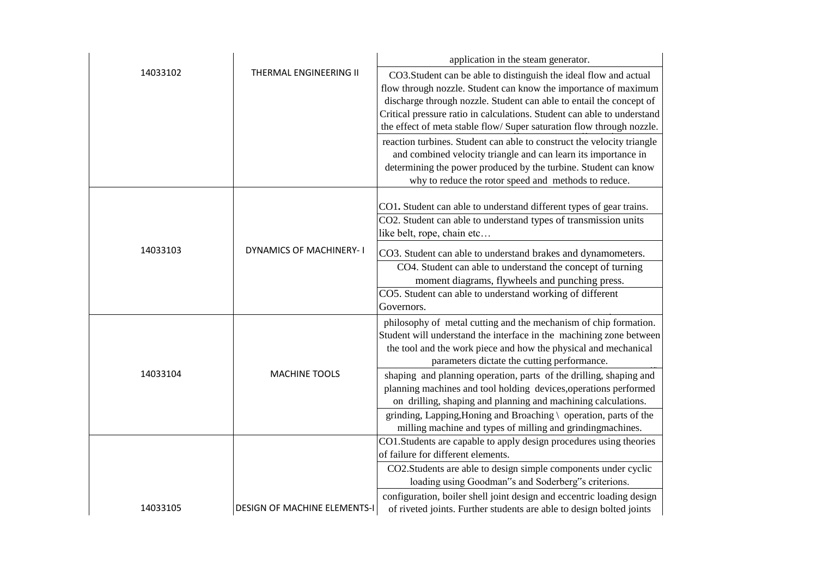|          |                                     | application in the steam generator.                                                                                                                                                                                                                                                                                                                            |
|----------|-------------------------------------|----------------------------------------------------------------------------------------------------------------------------------------------------------------------------------------------------------------------------------------------------------------------------------------------------------------------------------------------------------------|
| 14033102 | THERMAL ENGINEERING II              | CO3.Student can be able to distinguish the ideal flow and actual<br>flow through nozzle. Student can know the importance of maximum<br>discharge through nozzle. Student can able to entail the concept of<br>Critical pressure ratio in calculations. Student can able to understand<br>the effect of meta stable flow/ Super saturation flow through nozzle. |
|          |                                     | reaction turbines. Student can able to construct the velocity triangle<br>and combined velocity triangle and can learn its importance in<br>determining the power produced by the turbine. Student can know<br>why to reduce the rotor speed and methods to reduce.                                                                                            |
|          |                                     | CO1. Student can able to understand different types of gear trains.<br>CO2. Student can able to understand types of transmission units<br>like belt, rope, chain etc                                                                                                                                                                                           |
| 14033103 | <b>DYNAMICS OF MACHINERY-I</b>      | CO3. Student can able to understand brakes and dynamometers.                                                                                                                                                                                                                                                                                                   |
|          |                                     | CO4. Student can able to understand the concept of turning<br>moment diagrams, flywheels and punching press.                                                                                                                                                                                                                                                   |
|          |                                     | CO5. Student can able to understand working of different<br>Governors.                                                                                                                                                                                                                                                                                         |
|          |                                     | philosophy of metal cutting and the mechanism of chip formation.<br>Student will understand the interface in the machining zone between<br>the tool and the work piece and how the physical and mechanical<br>parameters dictate the cutting performance.                                                                                                      |
| 14033104 | <b>MACHINE TOOLS</b>                | shaping and planning operation, parts of the drilling, shaping and<br>planning machines and tool holding devices, operations performed<br>on drilling, shaping and planning and machining calculations.                                                                                                                                                        |
|          |                                     | grinding, Lapping, Honing and Broaching \ operation, parts of the<br>milling machine and types of milling and grindingmachines.                                                                                                                                                                                                                                |
|          |                                     | CO1.Students are capable to apply design procedures using theories<br>of failure for different elements.                                                                                                                                                                                                                                                       |
|          |                                     | CO2.Students are able to design simple components under cyclic<br>loading using Goodman"s and Soderberg"s criterions.                                                                                                                                                                                                                                          |
| 14033105 | <b>DESIGN OF MACHINE ELEMENTS-I</b> | configuration, boiler shell joint design and eccentric loading design<br>of riveted joints. Further students are able to design bolted joints                                                                                                                                                                                                                  |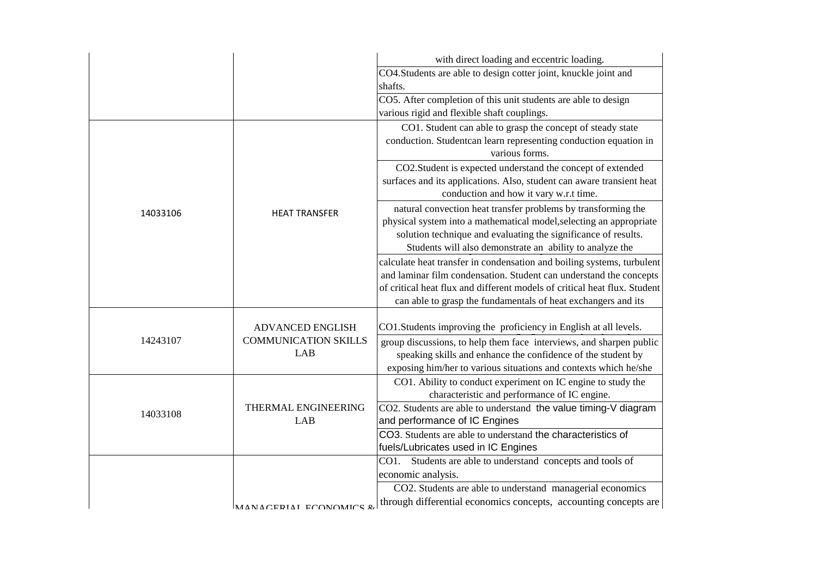|          |                                                                      | with direct loading and eccentric loading.                                                                                                                                                                                                                                                 |
|----------|----------------------------------------------------------------------|--------------------------------------------------------------------------------------------------------------------------------------------------------------------------------------------------------------------------------------------------------------------------------------------|
|          |                                                                      | CO4.Students are able to design cotter joint, knuckle joint and<br>shafts.                                                                                                                                                                                                                 |
|          |                                                                      | CO5. After completion of this unit students are able to design<br>various rigid and flexible shaft couplings.                                                                                                                                                                              |
|          | <b>HEAT TRANSFER</b>                                                 | CO1. Student can able to grasp the concept of steady state<br>conduction. Studentcan learn representing conduction equation in<br>various forms.                                                                                                                                           |
|          |                                                                      | CO2.Student is expected understand the concept of extended<br>surfaces and its applications. Also, student can aware transient heat<br>conduction and how it vary w.r.t time.                                                                                                              |
| 14033106 |                                                                      | natural convection heat transfer problems by transforming the<br>physical system into a mathematical model, selecting an appropriate<br>solution technique and evaluating the significance of results.<br>Students will also demonstrate an ability to analyze the                         |
|          |                                                                      | calculate heat transfer in condensation and boiling systems, turbulent<br>and laminar film condensation. Student can understand the concepts<br>of critical heat flux and different models of critical heat flux. Student<br>can able to grasp the fundamentals of heat exchangers and its |
| 14243107 | <b>ADVANCED ENGLISH</b><br><b>COMMUNICATION SKILLS</b><br><b>LAB</b> | CO1. Students improving the proficiency in English at all levels.                                                                                                                                                                                                                          |
|          |                                                                      | group discussions, to help them face interviews, and sharpen public<br>speaking skills and enhance the confidence of the student by<br>exposing him/her to various situations and contexts which he/she                                                                                    |
|          | THERMAL ENGINEERING<br>LAB                                           | CO1. Ability to conduct experiment on IC engine to study the<br>characteristic and performance of IC engine.                                                                                                                                                                               |
| 14033108 |                                                                      | CO2. Students are able to understand the value timing-V diagram<br>and performance of IC Engines                                                                                                                                                                                           |
|          |                                                                      | CO3. Students are able to understand the characteristics of<br>fuels/Lubricates used in IC Engines                                                                                                                                                                                         |
|          |                                                                      | CO1. Students are able to understand concepts and tools of<br>economic analysis.                                                                                                                                                                                                           |
|          | MANAGERIAI ECONOMICS &                                               | CO2. Students are able to understand managerial economics<br>through differential economics concepts, accounting concepts are                                                                                                                                                              |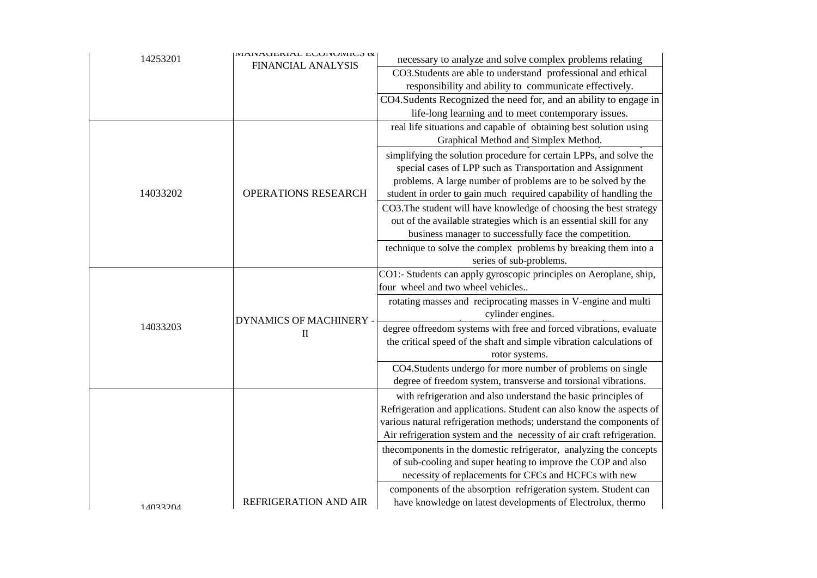| 14253201 | <b>IVITIVAULIMAL LUUIVUIILO &amp;</b> | necessary to analyze and solve complex problems relating               |
|----------|---------------------------------------|------------------------------------------------------------------------|
|          | <b>FINANCIAL ANALYSIS</b>             | CO3.Students are able to understand professional and ethical           |
|          |                                       | responsibility and ability to communicate effectively.                 |
|          |                                       | CO4. Sudents Recognized the need for, and an ability to engage in      |
|          |                                       | life-long learning and to meet contemporary issues.                    |
|          |                                       | real life situations and capable of obtaining best solution using      |
|          |                                       | Graphical Method and Simplex Method.                                   |
|          |                                       | simplifying the solution procedure for certain LPPs, and solve the     |
|          |                                       | special cases of LPP such as Transportation and Assignment             |
|          |                                       | problems. A large number of problems are to be solved by the           |
| 14033202 | OPERATIONS RESEARCH                   | student in order to gain much required capability of handling the      |
|          |                                       | CO3. The student will have knowledge of choosing the best strategy     |
|          |                                       | out of the available strategies which is an essential skill for any    |
|          |                                       | business manager to successfully face the competition.                 |
|          |                                       | technique to solve the complex problems by breaking them into a        |
|          |                                       | series of sub-problems.                                                |
|          |                                       | CO1:- Students can apply gyroscopic principles on Aeroplane, ship,     |
|          |                                       | four wheel and two wheel vehicles                                      |
|          |                                       | rotating masses and reciprocating masses in V-engine and multi         |
|          | <b>DYNAMICS OF MACHINERY -</b>        | cylinder engines.                                                      |
| 14033203 | $\mathbf{I}$                          | degree offreedom systems with free and forced vibrations, evaluate     |
|          |                                       | the critical speed of the shaft and simple vibration calculations of   |
|          |                                       | rotor systems.                                                         |
|          |                                       | CO4.Students undergo for more number of problems on single             |
|          |                                       | degree of freedom system, transverse and torsional vibrations.         |
|          |                                       | with refrigeration and also understand the basic principles of         |
|          |                                       | Refrigeration and applications. Student can also know the aspects of   |
|          |                                       | various natural refrigeration methods; understand the components of    |
|          |                                       | Air refrigeration system and the necessity of air craft refrigeration. |
|          |                                       | the components in the domestic refrigerator, analyzing the concepts    |
|          |                                       | of sub-cooling and super heating to improve the COP and also           |
|          |                                       | necessity of replacements for CFCs and HCFCs with new                  |
|          |                                       | components of the absorption refrigeration system. Student can         |
| 14033204 | REFRIGERATION AND AIR                 | have knowledge on latest developments of Electrolux, thermo            |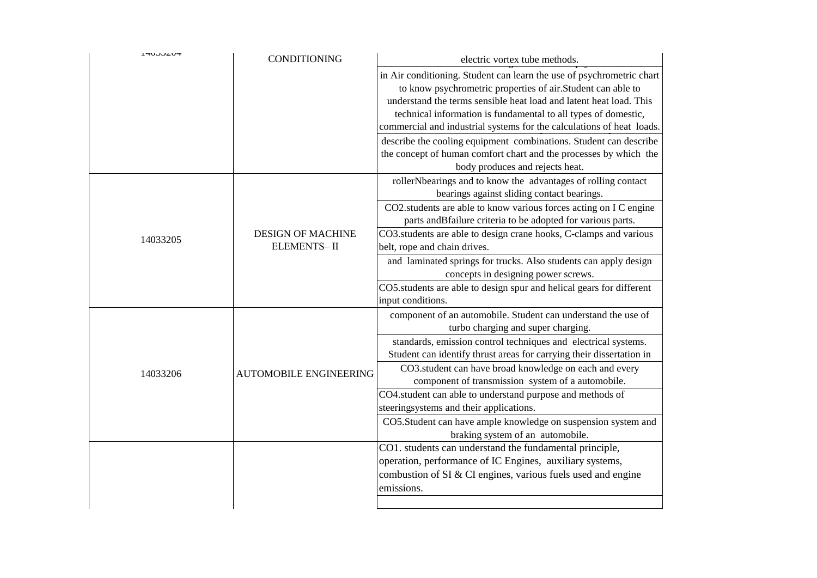| HUJJZUH  | <b>CONDITIONING</b>           | electric vortex tube methods.                                                      |
|----------|-------------------------------|------------------------------------------------------------------------------------|
|          |                               | in Air conditioning. Student can learn the use of psychrometric chart              |
|          |                               | to know psychrometric properties of air.Student can able to                        |
|          |                               | understand the terms sensible heat load and latent heat load. This                 |
|          |                               | technical information is fundamental to all types of domestic,                     |
|          |                               | commercial and industrial systems for the calculations of heat loads.              |
|          |                               | describe the cooling equipment combinations. Student can describe                  |
|          |                               | the concept of human comfort chart and the processes by which the                  |
|          |                               | body produces and rejects heat.                                                    |
|          |                               | rollerNbearings and to know the advantages of rolling contact                      |
|          |                               | bearings against sliding contact bearings.                                         |
|          |                               | CO2.students are able to know various forces acting on I C engine                  |
|          |                               | parts and Bfailure criteria to be adopted for various parts.                       |
| 14033205 | <b>DESIGN OF MACHINE</b>      | CO3.students are able to design crane hooks, C-clamps and various                  |
|          | <b>ELEMENTS-II</b>            | belt, rope and chain drives.                                                       |
|          |                               | and laminated springs for trucks. Also students can apply design                   |
|          |                               | concepts in designing power screws.                                                |
|          |                               | CO5.students are able to design spur and helical gears for different               |
|          |                               | input conditions.<br>component of an automobile. Student can understand the use of |
|          |                               | turbo charging and super charging.                                                 |
|          | <b>AUTOMOBILE ENGINEERING</b> | standards, emission control techniques and electrical systems.                     |
|          |                               | Student can identify thrust areas for carrying their dissertation in               |
|          |                               | CO3.student can have broad knowledge on each and every                             |
| 14033206 |                               | component of transmission system of a automobile.                                  |
|          |                               | CO4.student can able to understand purpose and methods of                          |
|          |                               | steeringsystems and their applications.                                            |
|          |                               | CO5.Student can have ample knowledge on suspension system and                      |
|          |                               | braking system of an automobile.                                                   |
|          |                               | CO1. students can understand the fundamental principle,                            |
|          |                               | operation, performance of IC Engines, auxiliary systems,                           |
|          |                               | combustion of SI & CI engines, various fuels used and engine                       |
|          |                               | emissions.                                                                         |
|          |                               |                                                                                    |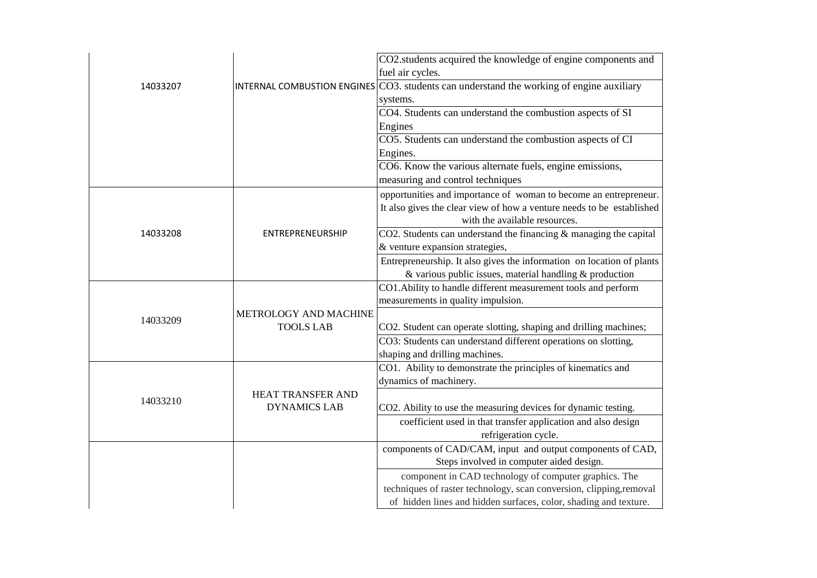|          |                       | CO2.students acquired the knowledge of engine components and<br>fuel air cycles.                                                     |
|----------|-----------------------|--------------------------------------------------------------------------------------------------------------------------------------|
| 14033207 |                       | INTERNAL COMBUSTION ENGINES $\vert$ CO3. students can understand the working of engine auxiliary                                     |
|          |                       | systems.                                                                                                                             |
|          |                       | CO4. Students can understand the combustion aspects of SI                                                                            |
|          |                       | Engines                                                                                                                              |
|          |                       | CO5. Students can understand the combustion aspects of CI                                                                            |
|          |                       | Engines.                                                                                                                             |
|          |                       | CO6. Know the various alternate fuels, engine emissions,                                                                             |
|          |                       | measuring and control techniques                                                                                                     |
|          |                       | opportunities and importance of woman to become an entrepreneur.                                                                     |
|          |                       | It also gives the clear view of how a venture needs to be established                                                                |
|          |                       | with the available resources.                                                                                                        |
| 14033208 | ENTREPRENEURSHIP      | CO2. Students can understand the financing $\&$ managing the capital                                                                 |
|          |                       | & venture expansion strategies,                                                                                                      |
|          |                       | Entrepreneurship. It also gives the information on location of plants<br>$&$ various public issues, material handling $&$ production |
|          |                       | CO1. Ability to handle different measurement tools and perform                                                                       |
|          |                       | measurements in quality impulsion.                                                                                                   |
|          | METROLOGY AND MACHINE |                                                                                                                                      |
| 14033209 | <b>TOOLS LAB</b>      | CO2. Student can operate slotting, shaping and drilling machines;                                                                    |
|          |                       | CO3: Students can understand different operations on slotting,                                                                       |
|          |                       | shaping and drilling machines.                                                                                                       |
|          |                       | CO1. Ability to demonstrate the principles of kinematics and                                                                         |
| 14033210 |                       | dynamics of machinery.                                                                                                               |
|          | HEAT TRANSFER AND     |                                                                                                                                      |
|          | <b>DYNAMICS LAB</b>   | CO2. Ability to use the measuring devices for dynamic testing.                                                                       |
|          |                       | coefficient used in that transfer application and also design                                                                        |
|          |                       | refrigeration cycle.                                                                                                                 |
|          |                       | components of CAD/CAM, input and output components of CAD,                                                                           |
|          |                       | Steps involved in computer aided design.                                                                                             |
|          |                       | component in CAD technology of computer graphics. The<br>techniques of raster technology, scan conversion, clipping, removal         |
|          |                       | of hidden lines and hidden surfaces, color, shading and texture.                                                                     |
|          |                       |                                                                                                                                      |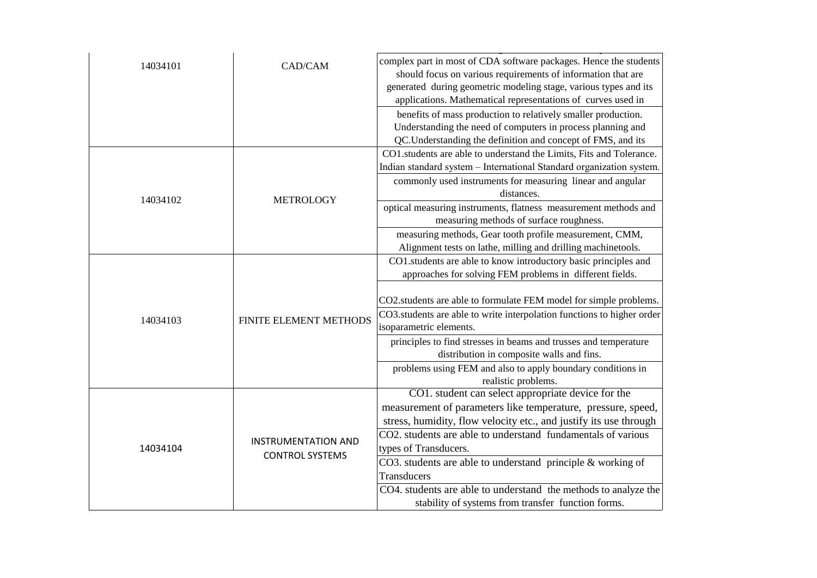| 14034101 | CAD/CAM                                              | complex part in most of CDA software packages. Hence the students<br>should focus on various requirements of information that are<br>generated during geometric modeling stage, various types and its<br>applications. Mathematical representations of curves used in |
|----------|------------------------------------------------------|-----------------------------------------------------------------------------------------------------------------------------------------------------------------------------------------------------------------------------------------------------------------------|
|          |                                                      | benefits of mass production to relatively smaller production.<br>Understanding the need of computers in process planning and<br>QC.Understanding the definition and concept of FMS, and its                                                                           |
|          | <b>METROLOGY</b>                                     | CO1.students are able to understand the Limits, Fits and Tolerance.<br>Indian standard system - International Standard organization system.                                                                                                                           |
| 14034102 |                                                      | commonly used instruments for measuring linear and angular<br>distances.                                                                                                                                                                                              |
|          |                                                      | optical measuring instruments, flatness measurement methods and<br>measuring methods of surface roughness.                                                                                                                                                            |
|          |                                                      | measuring methods, Gear tooth profile measurement, CMM,<br>Alignment tests on lathe, milling and drilling machinetools.                                                                                                                                               |
| 14034103 | FINITE ELEMENT METHODS                               | CO1.students are able to know introductory basic principles and<br>approaches for solving FEM problems in different fields.                                                                                                                                           |
|          |                                                      | CO2.students are able to formulate FEM model for simple problems.                                                                                                                                                                                                     |
|          |                                                      | CO3.students are able to write interpolation functions to higher order<br>isoparametric elements.                                                                                                                                                                     |
|          |                                                      | principles to find stresses in beams and trusses and temperature<br>distribution in composite walls and fins.                                                                                                                                                         |
|          |                                                      | problems using FEM and also to apply boundary conditions in<br>realistic problems.                                                                                                                                                                                    |
|          | <b>INSTRUMENTATION AND</b><br><b>CONTROL SYSTEMS</b> | CO1. student can select appropriate device for the                                                                                                                                                                                                                    |
| 14034104 |                                                      | measurement of parameters like temperature, pressure, speed,                                                                                                                                                                                                          |
|          |                                                      | stress, humidity, flow velocity etc., and justify its use through                                                                                                                                                                                                     |
|          |                                                      | CO2. students are able to understand fundamentals of various                                                                                                                                                                                                          |
|          |                                                      | types of Transducers.                                                                                                                                                                                                                                                 |
|          |                                                      | CO3. students are able to understand principle & working of<br>Transducers                                                                                                                                                                                            |
|          |                                                      | CO4. students are able to understand the methods to analyze the                                                                                                                                                                                                       |
|          |                                                      | stability of systems from transfer function forms.                                                                                                                                                                                                                    |
|          |                                                      |                                                                                                                                                                                                                                                                       |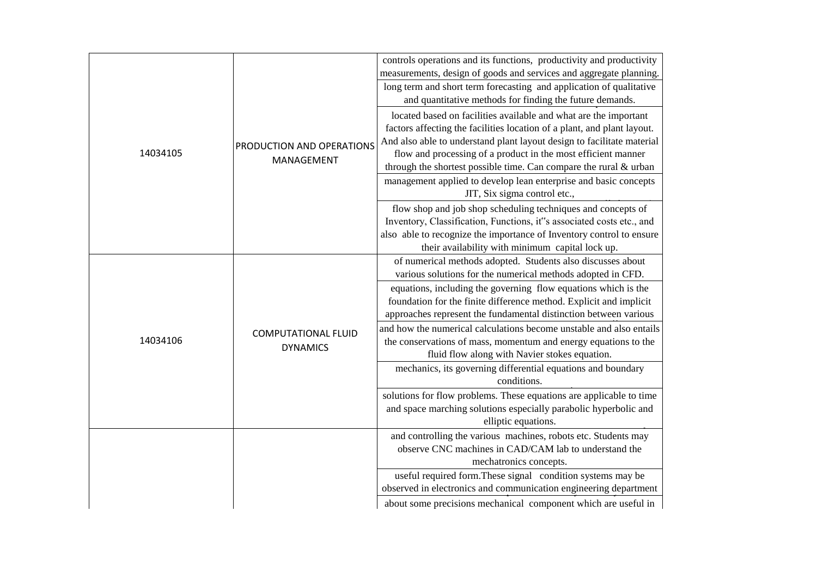|          |                                               | controls operations and its functions, productivity and productivity    |
|----------|-----------------------------------------------|-------------------------------------------------------------------------|
|          |                                               | measurements, design of goods and services and aggregate planning.      |
|          |                                               | long term and short term forecasting and application of qualitative     |
|          |                                               | and quantitative methods for finding the future demands.                |
|          |                                               | located based on facilities available and what are the important        |
|          |                                               | factors affecting the facilities location of a plant, and plant layout. |
|          | PRODUCTION AND OPERATIONS<br>MANAGEMENT       | And also able to understand plant layout design to facilitate material  |
| 14034105 |                                               | flow and processing of a product in the most efficient manner           |
|          |                                               | through the shortest possible time. Can compare the rural & urban       |
|          |                                               | management applied to develop lean enterprise and basic concepts        |
|          |                                               | JIT, Six sigma control etc.,                                            |
|          |                                               | flow shop and job shop scheduling techniques and concepts of            |
|          |                                               | Inventory, Classification, Functions, it"s associated costs etc., and   |
|          |                                               | also able to recognize the importance of Inventory control to ensure    |
|          |                                               | their availability with minimum capital lock up.                        |
|          |                                               | of numerical methods adopted. Students also discusses about             |
|          |                                               | various solutions for the numerical methods adopted in CFD.             |
|          | <b>COMPUTATIONAL FLUID</b><br><b>DYNAMICS</b> | equations, including the governing flow equations which is the          |
|          |                                               | foundation for the finite difference method. Explicit and implicit      |
|          |                                               | approaches represent the fundamental distinction between various        |
|          |                                               | and how the numerical calculations become unstable and also entails     |
| 14034106 |                                               | the conservations of mass, momentum and energy equations to the         |
|          |                                               | fluid flow along with Navier stokes equation.                           |
|          |                                               | mechanics, its governing differential equations and boundary            |
|          |                                               | conditions.                                                             |
|          |                                               | solutions for flow problems. These equations are applicable to time     |
|          |                                               | and space marching solutions especially parabolic hyperbolic and        |
|          |                                               | elliptic equations.                                                     |
|          |                                               | and controlling the various machines, robots etc. Students may          |
|          |                                               | observe CNC machines in CAD/CAM lab to understand the                   |
|          |                                               | mechatronics concepts.                                                  |
|          |                                               | useful required form. These signal condition systems may be             |
|          |                                               | observed in electronics and communication engineering department        |
|          |                                               | about some precisions mechanical component which are useful in          |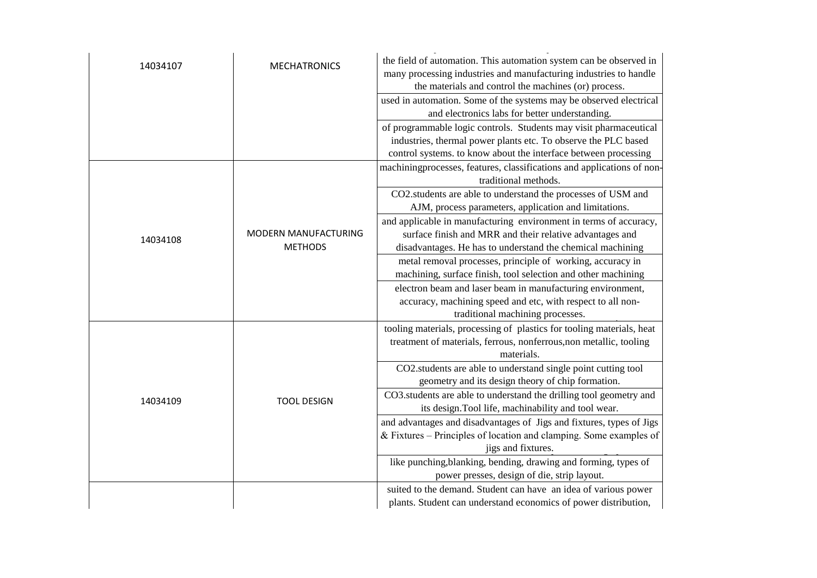| 14034107 | <b>MECHATRONICS</b>  | the field of automation. This automation system can be observed in     |
|----------|----------------------|------------------------------------------------------------------------|
|          |                      | many processing industries and manufacturing industries to handle      |
|          |                      | the materials and control the machines (or) process.                   |
|          |                      | used in automation. Some of the systems may be observed electrical     |
|          |                      | and electronics labs for better understanding.                         |
|          |                      | of programmable logic controls. Students may visit pharmaceutical      |
|          |                      | industries, thermal power plants etc. To observe the PLC based         |
|          |                      | control systems. to know about the interface between processing        |
|          |                      | machiningprocesses, features, classifications and applications of non- |
|          |                      | traditional methods.                                                   |
|          |                      | CO2.students are able to understand the processes of USM and           |
|          |                      | AJM, process parameters, application and limitations.                  |
|          |                      | and applicable in manufacturing environment in terms of accuracy,      |
| 14034108 | MODERN MANUFACTURING | surface finish and MRR and their relative advantages and               |
|          | <b>METHODS</b>       | disadvantages. He has to understand the chemical machining             |
|          |                      | metal removal processes, principle of working, accuracy in             |
|          |                      | machining, surface finish, tool selection and other machining          |
|          |                      | electron beam and laser beam in manufacturing environment,             |
|          |                      | accuracy, machining speed and etc, with respect to all non-            |
|          |                      | traditional machining processes.                                       |
|          | <b>TOOL DESIGN</b>   | tooling materials, processing of plastics for tooling materials, heat  |
|          |                      | treatment of materials, ferrous, nonferrous, non metallic, tooling     |
|          |                      | materials.                                                             |
|          |                      | CO2.students are able to understand single point cutting tool          |
|          |                      | geometry and its design theory of chip formation.                      |
|          |                      | CO3.students are able to understand the drilling tool geometry and     |
| 14034109 |                      | its design. Tool life, machinability and tool wear.                    |
|          |                      | and advantages and disadvantages of Jigs and fixtures, types of Jigs   |
|          |                      | $&$ Fixtures – Principles of location and clamping. Some examples of   |
|          |                      | jigs and fixtures.                                                     |
|          |                      | like punching, blanking, bending, drawing and forming, types of        |
|          |                      | power presses, design of die, strip layout.                            |
|          |                      | suited to the demand. Student can have an idea of various power        |
|          |                      | plants. Student can understand economics of power distribution,        |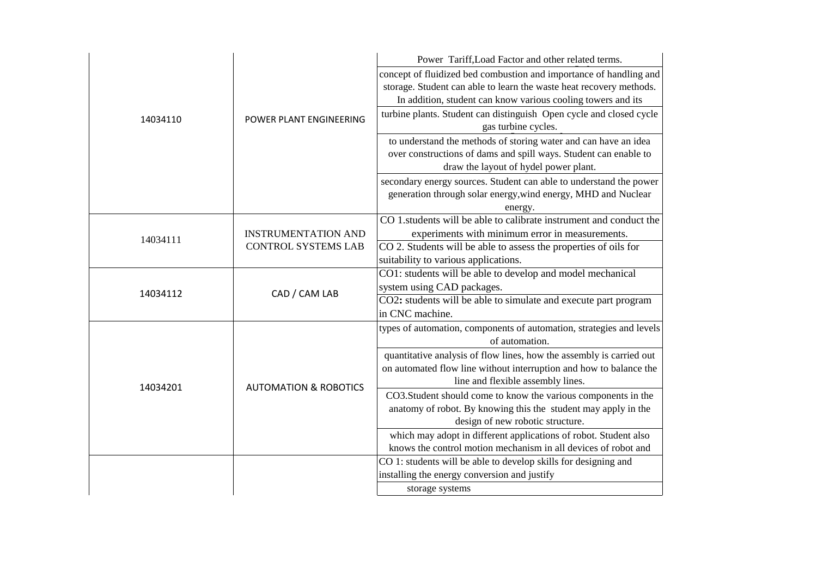|          |                                  | Power Tariff, Load Factor and other related terms.                   |
|----------|----------------------------------|----------------------------------------------------------------------|
|          | POWER PLANT ENGINEERING          | concept of fluidized bed combustion and importance of handling and   |
|          |                                  | storage. Student can able to learn the waste heat recovery methods.  |
|          |                                  | In addition, student can know various cooling towers and its         |
| 14034110 |                                  | turbine plants. Student can distinguish Open cycle and closed cycle  |
|          |                                  | gas turbine cycles.                                                  |
|          |                                  | to understand the methods of storing water and can have an idea      |
|          |                                  | over constructions of dams and spill ways. Student can enable to     |
|          |                                  | draw the layout of hydel power plant.                                |
|          |                                  | secondary energy sources. Student can able to understand the power   |
|          |                                  | generation through solar energy, wind energy, MHD and Nuclear        |
|          |                                  | energy.                                                              |
|          |                                  | CO 1. students will be able to calibrate instrument and conduct the  |
| 14034111 | <b>INSTRUMENTATION AND</b>       | experiments with minimum error in measurements.                      |
|          | <b>CONTROL SYSTEMS LAB</b>       | CO 2. Students will be able to assess the properties of oils for     |
|          |                                  | suitability to various applications.                                 |
|          | CAD / CAM LAB                    | CO1: students will be able to develop and model mechanical           |
| 14034112 |                                  | system using CAD packages.                                           |
|          |                                  | CO2: students will be able to simulate and execute part program      |
|          |                                  | in CNC machine.                                                      |
|          |                                  | types of automation, components of automation, strategies and levels |
|          |                                  | of automation.                                                       |
|          |                                  | quantitative analysis of flow lines, how the assembly is carried out |
| 14034201 | <b>AUTOMATION &amp; ROBOTICS</b> | on automated flow line without interruption and how to balance the   |
|          |                                  | line and flexible assembly lines.                                    |
|          |                                  | CO3.Student should come to know the various components in the        |
|          |                                  | anatomy of robot. By knowing this the student may apply in the       |
|          |                                  | design of new robotic structure.                                     |
|          |                                  | which may adopt in different applications of robot. Student also     |
|          |                                  | knows the control motion mechanism in all devices of robot and       |
|          |                                  | CO 1: students will be able to develop skills for designing and      |
|          |                                  | installing the energy conversion and justify                         |
|          |                                  | storage systems                                                      |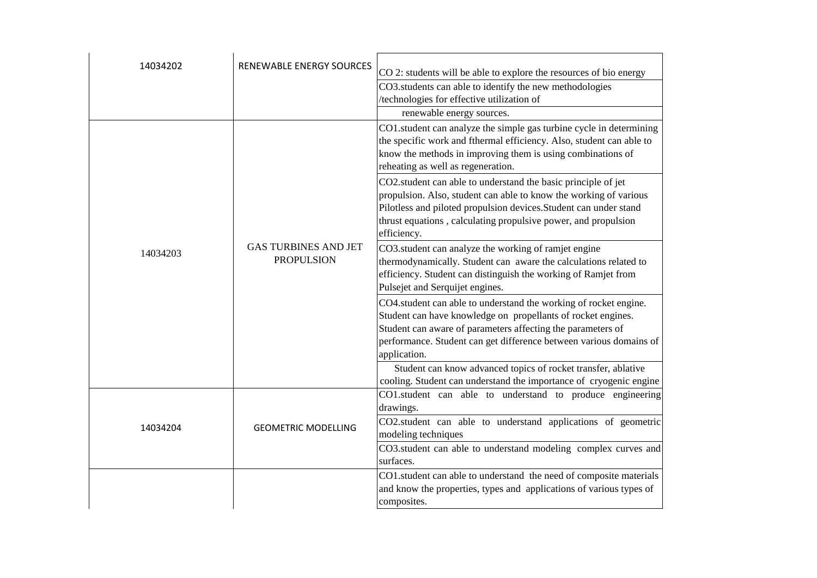| 14034202 | <b>RENEWABLE ENERGY SOURCES</b>                  | CO 2: students will be able to explore the resources of bio energy                                                                                                                                                                                                                       |
|----------|--------------------------------------------------|------------------------------------------------------------------------------------------------------------------------------------------------------------------------------------------------------------------------------------------------------------------------------------------|
|          |                                                  | CO3.students can able to identify the new methodologies                                                                                                                                                                                                                                  |
|          |                                                  | /technologies for effective utilization of                                                                                                                                                                                                                                               |
|          |                                                  | renewable energy sources.                                                                                                                                                                                                                                                                |
| 14034203 | <b>GAS TURBINES AND JET</b><br><b>PROPULSION</b> | CO1.student can analyze the simple gas turbine cycle in determining<br>the specific work and fthermal efficiency. Also, student can able to<br>know the methods in improving them is using combinations of<br>reheating as well as regeneration.                                         |
|          |                                                  | CO2.student can able to understand the basic principle of jet<br>propulsion. Also, student can able to know the working of various<br>Pilotless and piloted propulsion devices. Student can under stand<br>thrust equations, calculating propulsive power, and propulsion<br>efficiency. |
|          |                                                  | CO3.student can analyze the working of ramjet engine<br>thermodynamically. Student can aware the calculations related to<br>efficiency. Student can distinguish the working of Ramjet from<br>Pulsejet and Serquijet engines.                                                            |
|          |                                                  | CO4.student can able to understand the working of rocket engine.<br>Student can have knowledge on propellants of rocket engines.<br>Student can aware of parameters affecting the parameters of<br>performance. Student can get difference between various domains of<br>application.    |
|          |                                                  | Student can know advanced topics of rocket transfer, ablative<br>cooling. Student can understand the importance of cryogenic engine                                                                                                                                                      |
| 14034204 | <b>GEOMETRIC MODELLING</b>                       | CO1.student can able to understand to produce engineering<br>drawings.                                                                                                                                                                                                                   |
|          |                                                  | CO2.student can able to understand applications of geometric<br>modeling techniques                                                                                                                                                                                                      |
|          |                                                  | CO3.student can able to understand modeling complex curves and<br>surfaces.                                                                                                                                                                                                              |
|          |                                                  | CO1.student can able to understand the need of composite materials<br>and know the properties, types and applications of various types of<br>composites.                                                                                                                                 |